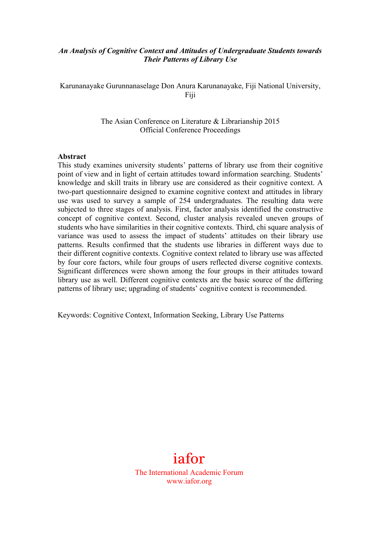#### *An Analysis of Cognitive Context and Attitudes of Undergraduate Students towards Their Patterns of Library Use*

Karunanayake Gurunnanaselage Don Anura Karunanayake, Fiji National University, Fiji

> The Asian Conference on Literature & Librarianship 2015 Official Conference Proceedings

#### **Abstract**

This study examines university students' patterns of library use from their cognitive point of view and in light of certain attitudes toward information searching. Students' knowledge and skill traits in library use are considered as their cognitive context. A two-part questionnaire designed to examine cognitive context and attitudes in library use was used to survey a sample of 254 undergraduates. The resulting data were subjected to three stages of analysis. First, factor analysis identified the constructive concept of cognitive context. Second, cluster analysis revealed uneven groups of students who have similarities in their cognitive contexts. Third, chi square analysis of variance was used to assess the impact of students' attitudes on their library use patterns. Results confirmed that the students use libraries in different ways due to their different cognitive contexts. Cognitive context related to library use was affected by four core factors, while four groups of users reflected diverse cognitive contexts. Significant differences were shown among the four groups in their attitudes toward library use as well. Different cognitive contexts are the basic source of the differing patterns of library use; upgrading of students' cognitive context is recommended.

Keywords: Cognitive Context, Information Seeking, Library Use Patterns

# iafor

The International Academic Forum www.iafor.org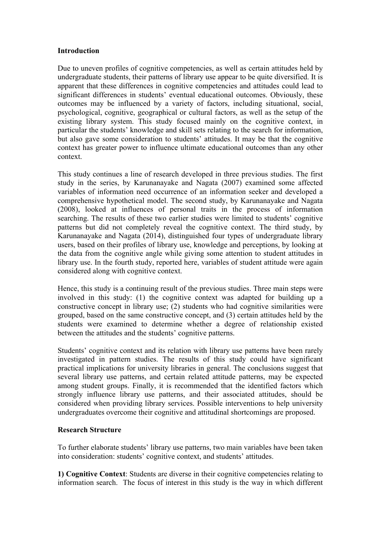## **Introduction**

Due to uneven profiles of cognitive competencies, as well as certain attitudes held by undergraduate students, their patterns of library use appear to be quite diversified. It is apparent that these differences in cognitive competencies and attitudes could lead to significant differences in students' eventual educational outcomes. Obviously, these outcomes may be influenced by a variety of factors, including situational, social, psychological, cognitive, geographical or cultural factors, as well as the setup of the existing library system. This study focused mainly on the cognitive context, in particular the students' knowledge and skill sets relating to the search for information, but also gave some consideration to students' attitudes. It may be that the cognitive context has greater power to influence ultimate educational outcomes than any other context.

This study continues a line of research developed in three previous studies. The first study in the series, by Karunanayake and Nagata (2007) examined some affected variables of information need occurrence of an information seeker and developed a comprehensive hypothetical model. The second study, by Karunanayake and Nagata (2008), looked at influences of personal traits in the process of information searching. The results of these two earlier studies were limited to students' cognitive patterns but did not completely reveal the cognitive context. The third study, by Karunanayake and Nagata (2014), distinguished four types of undergraduate library users, based on their profiles of library use, knowledge and perceptions, by looking at the data from the cognitive angle while giving some attention to student attitudes in library use. In the fourth study, reported here, variables of student attitude were again considered along with cognitive context.

Hence, this study is a continuing result of the previous studies. Three main steps were involved in this study: (1) the cognitive context was adapted for building up a constructive concept in library use; (2) students who had cognitive similarities were grouped, based on the same constructive concept, and (3) certain attitudes held by the students were examined to determine whether a degree of relationship existed between the attitudes and the students' cognitive patterns.

Students' cognitive context and its relation with library use patterns have been rarely investigated in pattern studies. The results of this study could have significant practical implications for university libraries in general. The conclusions suggest that several library use patterns, and certain related attitude patterns, may be expected among student groups. Finally, it is recommended that the identified factors which strongly influence library use patterns, and their associated attitudes, should be considered when providing library services. Possible interventions to help university undergraduates overcome their cognitive and attitudinal shortcomings are proposed.

## **Research Structure**

To further elaborate students' library use patterns, two main variables have been taken into consideration: students' cognitive context, and students' attitudes.

**1) Cognitive Context**: Students are diverse in their cognitive competencies relating to information search. The focus of interest in this study is the way in which different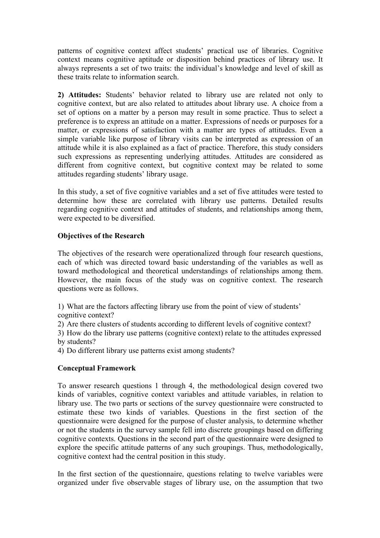patterns of cognitive context affect students' practical use of libraries. Cognitive context means cognitive aptitude or disposition behind practices of library use. It always represents a set of two traits: the individual's knowledge and level of skill as these traits relate to information search.

**2) Attitudes:** Students' behavior related to library use are related not only to cognitive context, but are also related to attitudes about library use. A choice from a set of options on a matter by a person may result in some practice. Thus to select a preference is to express an attitude on a matter. Expressions of needs or purposes for a matter, or expressions of satisfaction with a matter are types of attitudes. Even a simple variable like purpose of library visits can be interpreted as expression of an attitude while it is also explained as a fact of practice. Therefore, this study considers such expressions as representing underlying attitudes. Attitudes are considered as different from cognitive context, but cognitive context may be related to some attitudes regarding students' library usage.

In this study, a set of five cognitive variables and a set of five attitudes were tested to determine how these are correlated with library use patterns. Detailed results regarding cognitive context and attitudes of students, and relationships among them, were expected to be diversified.

# **Objectives of the Research**

The objectives of the research were operationalized through four research questions, each of which was directed toward basic understanding of the variables as well as toward methodological and theoretical understandings of relationships among them. However, the main focus of the study was on cognitive context. The research questions were as follows.

1) What are the factors affecting library use from the point of view of students' cognitive context?

2) Are there clusters of students according to different levels of cognitive context?

3) How do the library use patterns (cognitive context) relate to the attitudes expressed by students?

4) Do different library use patterns exist among students?

## **Conceptual Framework**

To answer research questions 1 through 4, the methodological design covered two kinds of variables, cognitive context variables and attitude variables, in relation to library use. The two parts or sections of the survey questionnaire were constructed to estimate these two kinds of variables. Questions in the first section of the questionnaire were designed for the purpose of cluster analysis, to determine whether or not the students in the survey sample fell into discrete groupings based on differing cognitive contexts. Questions in the second part of the questionnaire were designed to explore the specific attitude patterns of any such groupings. Thus, methodologically, cognitive context had the central position in this study.

In the first section of the questionnaire, questions relating to twelve variables were organized under five observable stages of library use, on the assumption that two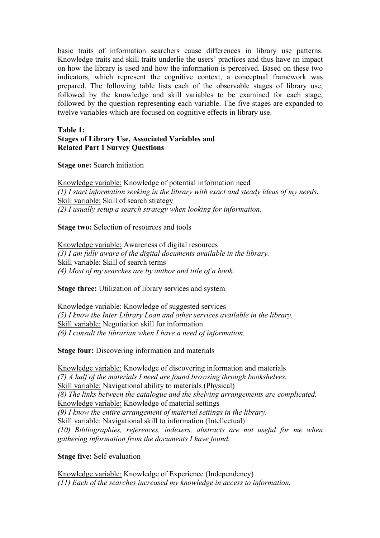basic traits of information searchers cause differences in library use patterns. Knowledge traits and skill traits underlie the users' practices and thus have an impact on how the library is used and how the information is perceived. Based on these two indicators, which represent the cognitive context, a conceptual framework was prepared. The following table lists each of the observable stages of library use, followed by the knowledge and skill variables to be examined for each stage, followed by the question representing each variable. The five stages are expanded to twelve variables which are focused on cognitive effects in library use.

#### **Table 1: Stages of Library Use, Associated Variables and Related Part 1 Survey Questions**

**Stage one:** Search initiation

Knowledge variable: Knowledge of potential information need *(1) I start information seeking in the library with exact and steady ideas of my needs*. Skill variable: Skill of search strategy *(2) I usually setup a search strategy when looking for information.*

**Stage two:** Selection of resources and tools

Knowledge variable: Awareness of digital resources *(3) I am fully aware of the digital documents available in the library.* Skill variable: Skill of search terms *(4) Most of my searches are by author and title of a book.*

**Stage three:** Utilization of library services and system

Knowledge variable: Knowledge of suggested services *(5) I know the Inter Library Loan and other services available in the library.* Skill variable: Negotiation skill for information *(6) I consult the librarian when I have a need of information.*

**Stage four:** Discovering information and materials

Knowledge variable: Knowledge of discovering information and materials *(7) A half of the materials I need are found browsing through bookshelves.* Skill variable: Navigational ability to materials (Physical) *(8) The links between the catalogue and the shelving arrangements are complicated.* Knowledge variable: Knowledge of material settings *(9) I know the entire arrangement of material settings in the library.* Skill variable: Navigational skill to information (Intellectual) *(10) Bibliographies, references, indexers, abstracts are not useful for me when gathering information from the documents I have found.* 

**Stage five:** Self-evaluation

Knowledge variable: Knowledge of Experience (Independency) *(11) Each of the searches increased my knowledge in access to information.*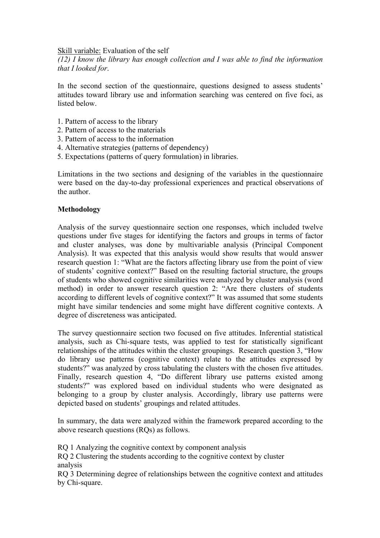#### Skill variable: Evaluation of the self

*(12) I know the library has enough collection and I was able to find the information that I looked for*.

In the second section of the questionnaire, questions designed to assess students' attitudes toward library use and information searching was centered on five foci, as listed below.

- 1. Pattern of access to the library
- 2. Pattern of access to the materials
- 3. Pattern of access to the information
- 4. Alternative strategies (patterns of dependency)
- 5. Expectations (patterns of query formulation) in libraries.

Limitations in the two sections and designing of the variables in the questionnaire were based on the day-to-day professional experiences and practical observations of the author.

## **Methodology**

Analysis of the survey questionnaire section one responses, which included twelve questions under five stages for identifying the factors and groups in terms of factor and cluster analyses, was done by multivariable analysis (Principal Component Analysis). It was expected that this analysis would show results that would answer research question 1: "What are the factors affecting library use from the point of view of students' cognitive context?" Based on the resulting factorial structure, the groups of students who showed cognitive similarities were analyzed by cluster analysis (word method) in order to answer research question 2: "Are there clusters of students according to different levels of cognitive context?" It was assumed that some students might have similar tendencies and some might have different cognitive contexts. A degree of discreteness was anticipated.

The survey questionnaire section two focused on five attitudes. Inferential statistical analysis, such as Chi-square tests, was applied to test for statistically significant relationships of the attitudes within the cluster groupings. Research question 3, "How do library use patterns (cognitive context) relate to the attitudes expressed by students?" was analyzed by cross tabulating the clusters with the chosen five attitudes. Finally, research question 4, "Do different library use patterns existed among students?" was explored based on individual students who were designated as belonging to a group by cluster analysis. Accordingly, library use patterns were depicted based on students' groupings and related attitudes.

In summary, the data were analyzed within the framework prepared according to the above research questions (RQs) as follows.

RQ 1 Analyzing the cognitive context by component analysis

RQ 2 Clustering the students according to the cognitive context by cluster analysis

RQ 3 Determining degree of relationships between the cognitive context and attitudes by Chi-square.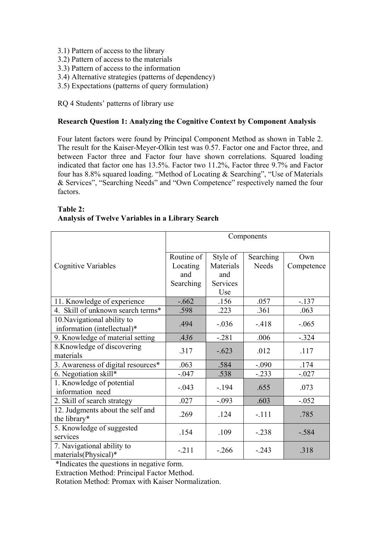- 3.1) Pattern of access to the library
- 3.2) Pattern of access to the materials
- 3.3) Pattern of access to the information
- 3.4) Alternative strategies (patterns of dependency)
- 3.5) Expectations (patterns of query formulation)

RQ 4 Students' patterns of library use

## **Research Question 1: Analyzing the Cognitive Context by Component Analysis**

Four latent factors were found by Principal Component Method as shown in Table 2. The result for the Kaiser-Meyer-Olkin test was 0.57. Factor one and Factor three, and between Factor three and Factor four have shown correlations. Squared loading indicated that factor one has 13.5%. Factor two 11.2%, Factor three 9.7% and Factor four has 8.8% squared loading. "Method of Locating & Searching", "Use of Materials & Services", "Searching Needs" and "Own Competence" respectively named the four factors.

## **Table 2: Analysis of Twelve Variables in a Library Search**

|                                                    | Components |           |           |            |
|----------------------------------------------------|------------|-----------|-----------|------------|
|                                                    |            |           |           |            |
|                                                    | Routine of | Style of  | Searching | Own        |
| <b>Cognitive Variables</b>                         | Locating   | Materials | Needs     | Competence |
|                                                    | and        | and       |           |            |
|                                                    | Searching  | Services  |           |            |
|                                                    |            | Use       |           |            |
| 11. Knowledge of experience                        | $-662$     | .156      | .057      | $-137$     |
| 4. Skill of unknown search terms*                  | .598       | .223      | .361      | .063       |
| 10. Navigational ability to                        | .494       | $-.036$   | $-.418$   | $-.065$    |
| information (intellectual)*                        |            |           |           |            |
| 9. Knowledge of material setting                   | .436       | $-.281$   | .006      | $-.324$    |
| 8. Knowledge of discovering                        | .317       | $-.623$   | .012      | .117       |
| materials                                          |            |           |           |            |
| 3. Awareness of digital resources*                 | .063       | .584      | $-.090$   | .174       |
| 6. Negotiation skill*                              | $-.047$    | .538      | $-0.233$  | $-.027$    |
| 1. Knowledge of potential<br>information need      | $-.043$    | $-194$    | .655      | .073       |
| 2. Skill of search strategy                        | .027       | $-.093$   | .603      | $-.052$    |
| 12. Judgments about the self and<br>the library*   | .269       | .124      | $-.111$   | .785       |
| 5. Knowledge of suggested                          | .154       | .109      | $-.238$   | $-.584$    |
| services                                           |            |           |           |            |
| 7. Navigational ability to<br>materials(Physical)* | $-211$     | $-.266$   | $-.243$   | .318       |

\*Indicates the questions in negative form.

Extraction Method: Principal Factor Method.

Rotation Method: Promax with Kaiser Normalization.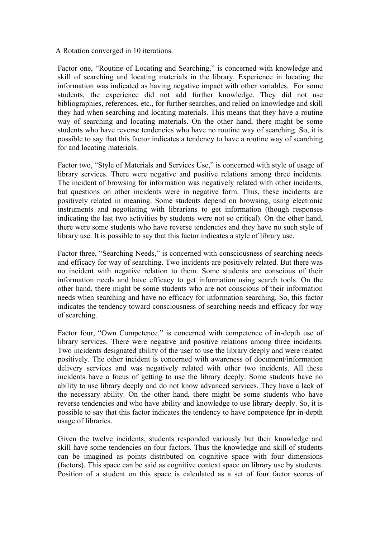#### A Rotation converged in 10 iterations.

Factor one, "Routine of Locating and Searching," is concerned with knowledge and skill of searching and locating materials in the library. Experience in locating the information was indicated as having negative impact with other variables. For some students, the experience did not add further knowledge. They did not use bibliographies, references, etc., for further searches, and relied on knowledge and skill they had when searching and locating materials. This means that they have a routine way of searching and locating materials. On the other hand, there might be some students who have reverse tendencies who have no routine way of searching. So, it is possible to say that this factor indicates a tendency to have a routine way of searching for and locating materials.

Factor two, "Style of Materials and Services Use," is concerned with style of usage of library services. There were negative and positive relations among three incidents. The incident of browsing for information was negatively related with other incidents, but questions on other incidents were in negative form. Thus, these incidents are positively related in meaning. Some students depend on browsing, using electronic instruments and negotiating with librarians to get information (though responses indicating the last two activities by students were not so critical). On the other hand, there were some students who have reverse tendencies and they have no such style of library use. It is possible to say that this factor indicates a style of library use.

Factor three, "Searching Needs," is concerned with consciousness of searching needs and efficacy for way of searching. Two incidents are positively related. But there was no incident with negative relation to them. Some students are conscious of their information needs and have efficacy to get information using search tools. On the other hand, there might be some students who are not conscious of their information needs when searching and have no efficacy for information searching. So, this factor indicates the tendency toward consciousness of searching needs and efficacy for way of searching.

Factor four, "Own Competence," is concerned with competence of in-depth use of library services. There were negative and positive relations among three incidents. Two incidents designated ability of the user to use the library deeply and were related positively. The other incident is concerned with awareness of document/information delivery services and was negatively related with other two incidents. All these incidents have a focus of getting to use the library deeply. Some students have no ability to use library deeply and do not know advanced services. They have a lack of the necessary ability. On the other hand, there might be some students who have reverse tendencies and who have ability and knowledge to use library deeply. So, it is possible to say that this factor indicates the tendency to have competence fpr in-depth usage of libraries.

Given the twelve incidents, students responded variously but their knowledge and skill have some tendencies on four factors. Thus the knowledge and skill of students can be imagined as points distributed on cognitive space with four dimensions (factors). This space can be said as cognitive context space on library use by students. Position of a student on this space is calculated as a set of four factor scores of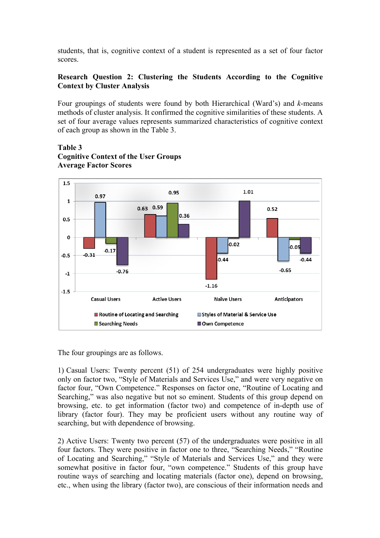students, that is, cognitive context of a student is represented as a set of four factor scores.

## **Research Question 2: Clustering the Students According to the Cognitive Context by Cluster Analysis**

Four groupings of students were found by both Hierarchical (Ward's) and *k*-means methods of cluster analysis. It confirmed the cognitive similarities of these students. A set of four average values represents summarized characteristics of cognitive context of each group as shown in the Table 3.

## **Table 3 Cognitive Context of the User Groups Average Factor Scores**



The four groupings are as follows.

1) Casual Users: Twenty percent (51) of 254 undergraduates were highly positive only on factor two, "Style of Materials and Services Use," and were very negative on factor four, "Own Competence." Responses on factor one, "Routine of Locating and Searching," was also negative but not so eminent. Students of this group depend on browsing, etc. to get information (factor two) and competence of in-depth use of library (factor four). They may be proficient users without any routine way of searching, but with dependence of browsing.

2) Active Users: Twenty two percent (57) of the undergraduates were positive in all four factors. They were positive in factor one to three, "Searching Needs," "Routine of Locating and Searching," "Style of Materials and Services Use," and they were somewhat positive in factor four, "own competence." Students of this group have routine ways of searching and locating materials (factor one), depend on browsing, etc., when using the library (factor two), are conscious of their information needs and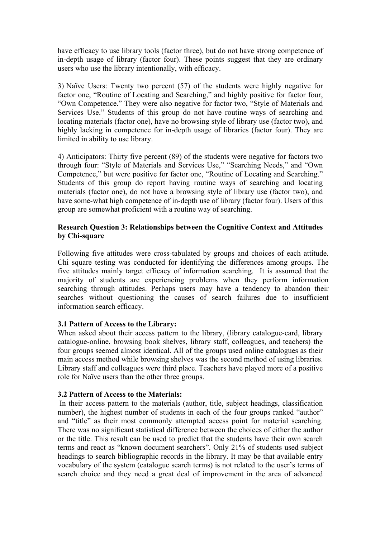have efficacy to use library tools (factor three), but do not have strong competence of in-depth usage of library (factor four). These points suggest that they are ordinary users who use the library intentionally, with efficacy.

3) Naïve Users: Twenty two percent (57) of the students were highly negative for factor one, "Routine of Locating and Searching," and highly positive for factor four, "Own Competence." They were also negative for factor two, "Style of Materials and Services Use." Students of this group do not have routine ways of searching and locating materials (factor one), have no browsing style of library use (factor two), and highly lacking in competence for in-depth usage of libraries (factor four). They are limited in ability to use library.

4) Anticipators: Thirty five percent (89) of the students were negative for factors two through four: "Style of Materials and Services Use," "Searching Needs," and "Own Competence," but were positive for factor one, "Routine of Locating and Searching." Students of this group do report having routine ways of searching and locating materials (factor one), do not have a browsing style of library use (factor two), and have some-what high competence of in-depth use of library (factor four). Users of this group are somewhat proficient with a routine way of searching.

## **Research Question 3: Relationships between the Cognitive Context and Attitudes by Chi-square**

Following five attitudes were cross-tabulated by groups and choices of each attitude. Chi square testing was conducted for identifying the differences among groups. The five attitudes mainly target efficacy of information searching. It is assumed that the majority of students are experiencing problems when they perform information searching through attitudes. Perhaps users may have a tendency to abandon their searches without questioning the causes of search failures due to insufficient information search efficacy.

## **3.1 Pattern of Access to the Library:**

When asked about their access pattern to the library, (library catalogue-card, library catalogue-online, browsing book shelves, library staff, colleagues, and teachers) the four groups seemed almost identical. All of the groups used online catalogues as their main access method while browsing shelves was the second method of using libraries. Library staff and colleagues were third place. Teachers have played more of a positive role for Naïve users than the other three groups.

## **3.2 Pattern of Access to the Materials:**

In their access pattern to the materials (author, title, subject headings, classification number), the highest number of students in each of the four groups ranked "author" and "title" as their most commonly attempted access point for material searching. There was no significant statistical difference between the choices of either the author or the title. This result can be used to predict that the students have their own search terms and react as "known document searchers". Only 21% of students used subject headings to search bibliographic records in the library. It may be that available entry vocabulary of the system (catalogue search terms) is not related to the user's terms of search choice and they need a great deal of improvement in the area of advanced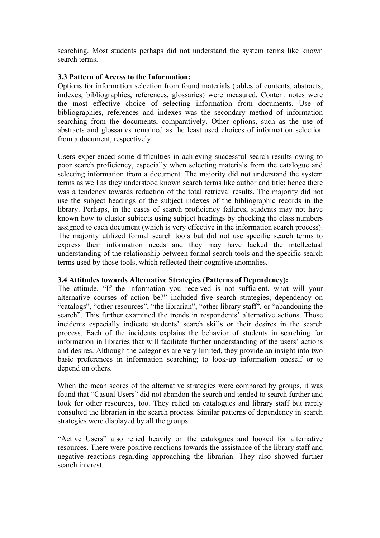searching. Most students perhaps did not understand the system terms like known search terms.

## **3.3 Pattern of Access to the Information:**

Options for information selection from found materials (tables of contents, abstracts, indexes, bibliographies, references, glossaries) were measured. Content notes were the most effective choice of selecting information from documents. Use of bibliographies, references and indexes was the secondary method of information searching from the documents, comparatively. Other options, such as the use of abstracts and glossaries remained as the least used choices of information selection from a document, respectively.

Users experienced some difficulties in achieving successful search results owing to poor search proficiency, especially when selecting materials from the catalogue and selecting information from a document. The majority did not understand the system terms as well as they understood known search terms like author and title; hence there was a tendency towards reduction of the total retrieval results. The majority did not use the subject headings of the subject indexes of the bibliographic records in the library. Perhaps, in the cases of search proficiency failures, students may not have known how to cluster subjects using subject headings by checking the class numbers assigned to each document (which is very effective in the information search process). The majority utilized formal search tools but did not use specific search terms to express their information needs and they may have lacked the intellectual understanding of the relationship between formal search tools and the specific search terms used by those tools, which reflected their cognitive anomalies.

### **3.4 Attitudes towards Alternative Strategies (Patterns of Dependency):**

The attitude, "If the information you received is not sufficient, what will your alternative courses of action be?" included five search strategies; dependency on "catalogs", "other resources", "the librarian", "other library staff", or "abandoning the search". This further examined the trends in respondents' alternative actions. Those incidents especially indicate students' search skills or their desires in the search process. Each of the incidents explains the behavior of students in searching for information in libraries that will facilitate further understanding of the users' actions and desires. Although the categories are very limited, they provide an insight into two basic preferences in information searching; to look-up information oneself or to depend on others.

When the mean scores of the alternative strategies were compared by groups, it was found that "Casual Users" did not abandon the search and tended to search further and look for other resources, too. They relied on catalogues and library staff but rarely consulted the librarian in the search process. Similar patterns of dependency in search strategies were displayed by all the groups.

"Active Users" also relied heavily on the catalogues and looked for alternative resources. There were positive reactions towards the assistance of the library staff and negative reactions regarding approaching the librarian. They also showed further search interest.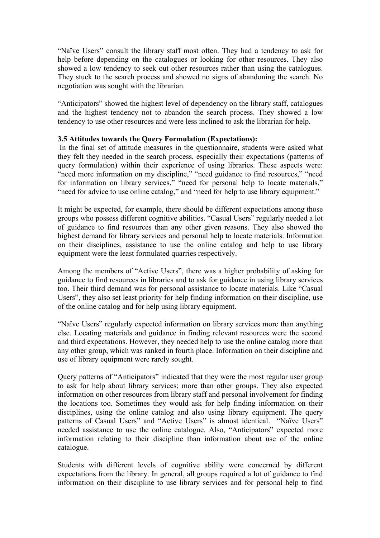"Naïve Users" consult the library staff most often. They had a tendency to ask for help before depending on the catalogues or looking for other resources. They also showed a low tendency to seek out other resources rather than using the catalogues. They stuck to the search process and showed no signs of abandoning the search. No negotiation was sought with the librarian.

"Anticipators" showed the highest level of dependency on the library staff, catalogues and the highest tendency not to abandon the search process. They showed a low tendency to use other resources and were less inclined to ask the librarian for help.

## **3.5 Attitudes towards the Query Formulation (Expectations):**

In the final set of attitude measures in the questionnaire, students were asked what they felt they needed in the search process, especially their expectations (patterns of query formulation) within their experience of using libraries. These aspects were: "need more information on my discipline," "need guidance to find resources," "need for information on library services," "need for personal help to locate materials," "need for advice to use online catalog," and "need for help to use library equipment."

It might be expected, for example, there should be different expectations among those groups who possess different cognitive abilities. "Casual Users" regularly needed a lot of guidance to find resources than any other given reasons. They also showed the highest demand for library services and personal help to locate materials. Information on their disciplines, assistance to use the online catalog and help to use library equipment were the least formulated quarries respectively.

Among the members of "Active Users", there was a higher probability of asking for guidance to find resources in libraries and to ask for guidance in using library services too. Their third demand was for personal assistance to locate materials. Like "Casual Users", they also set least priority for help finding information on their discipline, use of the online catalog and for help using library equipment.

"Naïve Users" regularly expected information on library services more than anything else. Locating materials and guidance in finding relevant resources were the second and third expectations. However, they needed help to use the online catalog more than any other group, which was ranked in fourth place. Information on their discipline and use of library equipment were rarely sought.

Query patterns of "Anticipators" indicated that they were the most regular user group to ask for help about library services; more than other groups. They also expected information on other resources from library staff and personal involvement for finding the locations too. Sometimes they would ask for help finding information on their disciplines, using the online catalog and also using library equipment. The query patterns of Casual Users" and "Active Users" is almost identical. "Naïve Users" needed assistance to use the online catalogue. Also, "Anticipators" expected more information relating to their discipline than information about use of the online catalogue.

Students with different levels of cognitive ability were concerned by different expectations from the library. In general, all groups required a lot of guidance to find information on their discipline to use library services and for personal help to find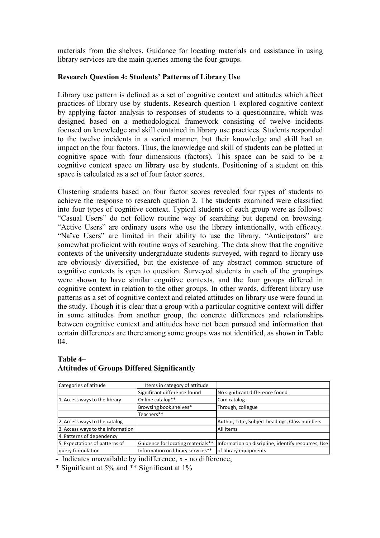materials from the shelves. Guidance for locating materials and assistance in using library services are the main queries among the four groups.

## **Research Question 4: Students' Patterns of Library Use**

Library use pattern is defined as a set of cognitive context and attitudes which affect practices of library use by students. Research question 1 explored cognitive context by applying factor analysis to responses of students to a questionnaire, which was designed based on a methodological framework consisting of twelve incidents focused on knowledge and skill contained in library use practices. Students responded to the twelve incidents in a varied manner, but their knowledge and skill had an impact on the four factors. Thus, the knowledge and skill of students can be plotted in cognitive space with four dimensions (factors). This space can be said to be a cognitive context space on library use by students. Positioning of a student on this space is calculated as a set of four factor scores.

Clustering students based on four factor scores revealed four types of students to achieve the response to research question 2. The students examined were classified into four types of cognitive context. Typical students of each group were as follows: "Casual Users" do not follow routine way of searching but depend on browsing. "Active Users" are ordinary users who use the library intentionally, with efficacy. "Naïve Users" are limited in their ability to use the library. "Anticipators" are somewhat proficient with routine ways of searching. The data show that the cognitive contexts of the university undergraduate students surveyed, with regard to library use are obviously diversified, but the existence of any abstract common structure of cognitive contexts is open to question. Surveyed students in each of the groupings were shown to have similar cognitive contexts, and the four groups differed in cognitive context in relation to the other groups. In other words, different library use patterns as a set of cognitive context and related attitudes on library use were found in the study. Though it is clear that a group with a particular cognitive context will differ in some attitudes from another group, the concrete differences and relationships between cognitive context and attitudes have not been pursued and information that certain differences are there among some groups was not identified, as shown in Table 04.

#### **Table 4– Attitudes of Groups Differed Significantly**

| Categories of atitude             | Items in category of attitude     |                                                    |
|-----------------------------------|-----------------------------------|----------------------------------------------------|
|                                   | Significant difference found      | No significant difference found                    |
| 1. Access ways to the library     | Online catalog**                  | Card catalog                                       |
|                                   | Browsing book shelves*            | Through, collegue                                  |
|                                   | Teachers**                        |                                                    |
| 2. Access ways to the catalog     |                                   | Author, Title, Subject headings, Class numbers     |
| 3. Access ways to the information |                                   | All items                                          |
| 4. Patterns of dependency         |                                   |                                                    |
| 5. Expectations of patterns of    | Guidence for locating materials** | Information on discipline, identify resources, Use |
| query formulation                 | Information on library services** | of library equipments                              |

- Indicates unavailable by indifference, x - no difference,

\* Significant at 5% and \*\* Significant at 1%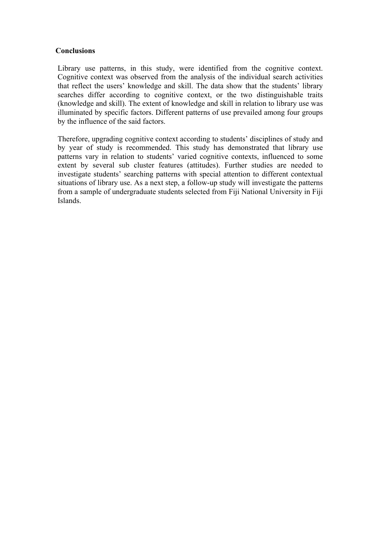## **Conclusions**

Library use patterns, in this study, were identified from the cognitive context. Cognitive context was observed from the analysis of the individual search activities that reflect the users' knowledge and skill. The data show that the students' library searches differ according to cognitive context, or the two distinguishable traits (knowledge and skill). The extent of knowledge and skill in relation to library use was illuminated by specific factors. Different patterns of use prevailed among four groups by the influence of the said factors.

Therefore, upgrading cognitive context according to students' disciplines of study and by year of study is recommended. This study has demonstrated that library use patterns vary in relation to students' varied cognitive contexts, influenced to some extent by several sub cluster features (attitudes). Further studies are needed to investigate students' searching patterns with special attention to different contextual situations of library use. As a next step, a follow-up study will investigate the patterns from a sample of undergraduate students selected from Fiji National University in Fiji Islands.